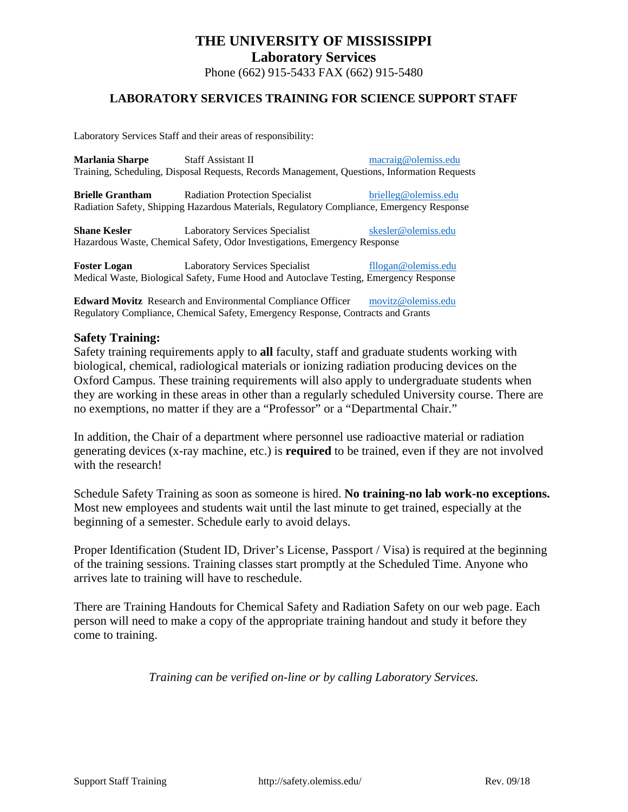Phone (662) 915-5433 FAX (662) 915-5480

### **LABORATORY SERVICES TRAINING FOR SCIENCE SUPPORT STAFF**

Laboratory Services Staff and their areas of responsibility:

| <b>Marlania Sharpe</b>                                                                       | Staff Assistant II                                                                                                                  | macraig@olemiss.edu  |  |  |  |  |  |  |  |
|----------------------------------------------------------------------------------------------|-------------------------------------------------------------------------------------------------------------------------------------|----------------------|--|--|--|--|--|--|--|
| Training, Scheduling, Disposal Requests, Records Management, Questions, Information Requests |                                                                                                                                     |                      |  |  |  |  |  |  |  |
| <b>Brielle Grantham</b>                                                                      | <b>Radiation Protection Specialist</b><br>Radiation Safety, Shipping Hazardous Materials, Regulatory Compliance, Emergency Response | brielleg@olemiss.edu |  |  |  |  |  |  |  |
| <b>Shane Kesler</b>                                                                          | <b>Laboratory Services Specialist</b>                                                                                               | skesler@olemiss.edu  |  |  |  |  |  |  |  |
|                                                                                              | Hazardous Waste, Chemical Safety, Odor Investigations, Emergency Response                                                           |                      |  |  |  |  |  |  |  |

**Foster Logan** Laboratory Services Specialist [fllogan@olemiss.edu](mailto:fllogan@olemiss.edu) Medical Waste, Biological Safety, Fume Hood and Autoclave Testing, Emergency Response

**Edward Movitz** Research and Environmental Compliance Officer [movitz@olemiss.edu](mailto:movitz@olemiss.edu) Regulatory Compliance, Chemical Safety, Emergency Response, Contracts and Grants

#### **Safety Training:**

Safety training requirements apply to **all** faculty, staff and graduate students working with biological, chemical, radiological materials or ionizing radiation producing devices on the Oxford Campus. These training requirements will also apply to undergraduate students when they are working in these areas in other than a regularly scheduled University course. There are no exemptions, no matter if they are a "Professor" or a "Departmental Chair."

In addition, the Chair of a department where personnel use radioactive material or radiation generating devices (x-ray machine, etc.) is **required** to be trained, even if they are not involved with the research!

Schedule Safety Training as soon as someone is hired. **No training-no lab work-no exceptions.**  Most new employees and students wait until the last minute to get trained, especially at the beginning of a semester. Schedule early to avoid delays.

Proper Identification (Student ID, Driver's License, Passport / Visa) is required at the beginning of the training sessions. Training classes start promptly at the Scheduled Time. Anyone who arrives late to training will have to reschedule.

There are Training Handouts for Chemical Safety and Radiation Safety on our web page. Each person will need to make a copy of the appropriate training handout and study it before they come to training.

*Training can be verified on-line or by calling Laboratory Services.*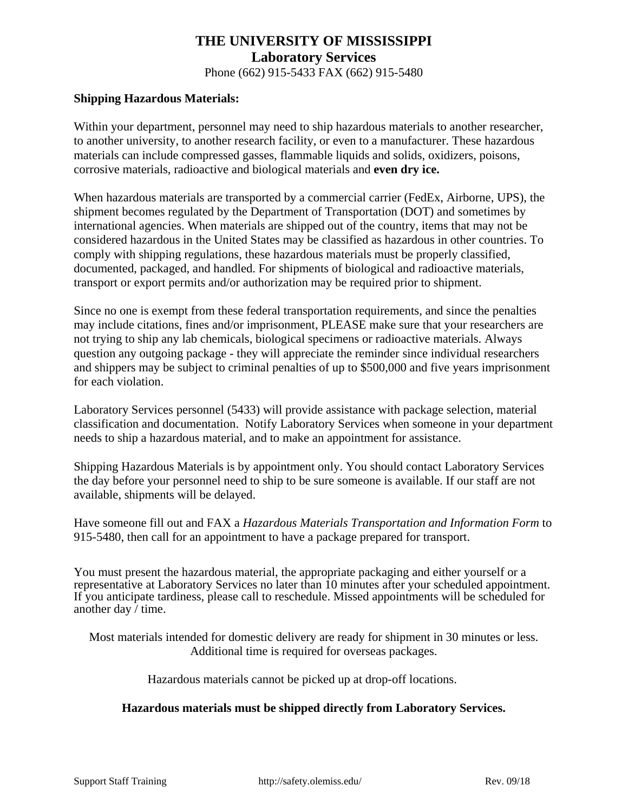Phone (662) 915-5433 FAX (662) 915-5480

#### **Shipping Hazardous Materials:**

Within your department, personnel may need to ship hazardous materials to another researcher, to another university, to another research facility, or even to a manufacturer. These hazardous materials can include compressed gasses, flammable liquids and solids, oxidizers, poisons, corrosive materials, radioactive and biological materials and **even dry ice.** 

When hazardous materials are transported by a commercial carrier (FedEx, Airborne, UPS), the shipment becomes regulated by the Department of Transportation (DOT) and sometimes by international agencies. When materials are shipped out of the country, items that may not be considered hazardous in the United States may be classified as hazardous in other countries. To comply with shipping regulations, these hazardous materials must be properly classified, documented, packaged, and handled. For shipments of biological and radioactive materials, transport or export permits and/or authorization may be required prior to shipment.

Since no one is exempt from these federal transportation requirements, and since the penalties may include citations, fines and/or imprisonment, PLEASE make sure that your researchers are not trying to ship any lab chemicals, biological specimens or radioactive materials. Always question any outgoing package - they will appreciate the reminder since individual researchers and shippers may be subject to criminal penalties of up to \$500,000 and five years imprisonment for each violation.

Laboratory Services personnel (5433) will provide assistance with package selection, material classification and documentation. Notify Laboratory Services when someone in your department needs to ship a hazardous material, and to make an appointment for assistance.

Shipping Hazardous Materials is by appointment only. You should contact Laboratory Services the day before your personnel need to ship to be sure someone is available. If our staff are not available, shipments will be delayed.

Have someone fill out and FAX a *Hazardous Materials Transportation and Information Form* to 915-5480, then call for an appointment to have a package prepared for transport.

You must present the hazardous material, the appropriate packaging and either yourself or a representative at Laboratory Services no later than 10 minutes after your scheduled appointment. If you anticipate tardiness, please call to reschedule. Missed appointments will be scheduled for another day  $\overline{\ }$  time.

Most materials intended for domestic delivery are ready for shipment in 30 minutes or less. Additional time is required for overseas packages.

Hazardous materials cannot be picked up at drop-off locations.

#### **Hazardous materials must be shipped directly from Laboratory Services.**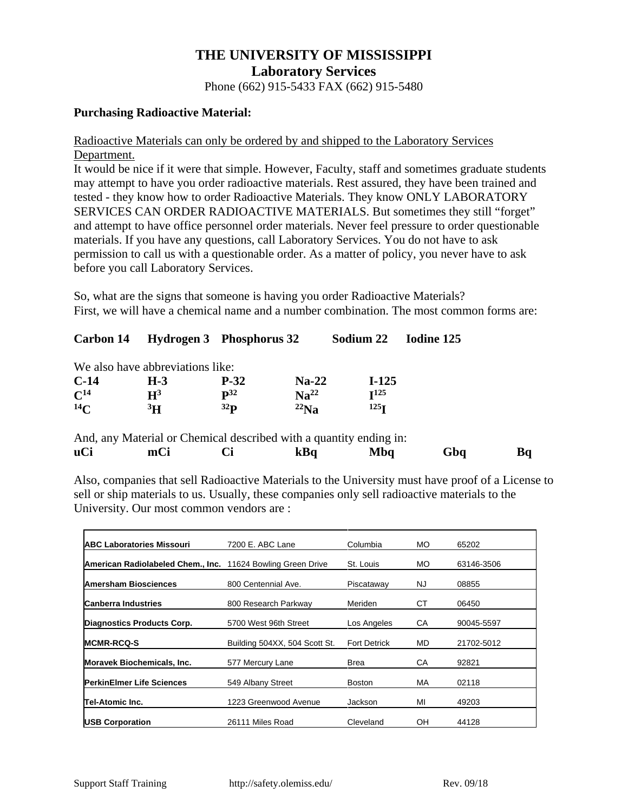# **THE UNIVERSITY OF MISSISSIPPI Laboratory Services** Phone (662) 915-5433 FAX (662) 915-5480

### **Purchasing Radioactive Material:**

### Radioactive Materials can only be ordered by and shipped to the Laboratory Services Department.

It would be nice if it were that simple. However, Faculty, staff and sometimes graduate students may attempt to have you order radioactive materials. Rest assured, they have been trained and tested - they know how to order Radioactive Materials. They know ONLY LABORATORY SERVICES CAN ORDER RADIOACTIVE MATERIALS. But sometimes they still "forget" and attempt to have office personnel order materials. Never feel pressure to order questionable materials. If you have any questions, call Laboratory Services. You do not have to ask permission to call us with a questionable order. As a matter of policy, you never have to ask before you call Laboratory Services.

So, what are the signs that someone is having you order Radioactive Materials? First, we will have a chemical name and a number combination. The most common forms are:

| Carbon 14         | Hydrogen 3 Phosphorus 32         |                   |                  | Sodium 22        | Iodine 125 |
|-------------------|----------------------------------|-------------------|------------------|------------------|------------|
|                   | We also have abbreviations like: |                   |                  |                  |            |
| $C-14$            | $H-3$                            | $P-32$            | $Na-22$          | $I-125$          |            |
| $\mathbf{C}^{14}$ | $H^3$                            | $\mathbf{p}^{32}$ | Na <sup>22</sup> | I <sup>125</sup> |            |
| $^{14}C$          | 3 <sup>H</sup>                   | 32 <sub>P</sub>   | $^{22}$ Na       | 125 <sub>T</sub> |            |

**uCi mCi Ci kBq Mbq Gbq Bq** Also, companies that sell Radioactive Materials to the University must have proof of a License to sell or ship materials to us. Usually, these companies only sell radioactive materials to the

University. Our most common vendors are :

| <b>ABC Laboratories Missouri</b>                            | 7200 E. ABC Lane              | Columbia            | MO.       | 65202      |
|-------------------------------------------------------------|-------------------------------|---------------------|-----------|------------|
| American Radiolabeled Chem., Inc. 11624 Bowling Green Drive |                               | St. Louis           | MO.       | 63146-3506 |
| <b>Amersham Biosciences</b>                                 | 800 Centennial Ave.           | Piscataway          | NJ.       | 08855      |
| <b>Canberra Industries</b>                                  | 800 Research Parkway          | Meriden             | СT        | 06450      |
| Diagnostics Products Corp.                                  | 5700 West 96th Street         | Los Angeles         | CA        | 90045-5597 |
| <b>MCMR-RCQ-S</b>                                           | Building 504XX, 504 Scott St. | <b>Fort Detrick</b> | <b>MD</b> | 21702-5012 |
| <b>Moravek Biochemicals, Inc.</b>                           | 577 Mercury Lane              | <b>Brea</b>         | CA        | 92821      |
| <b>PerkinElmer Life Sciences</b>                            | 549 Albany Street             | <b>Boston</b>       | MA        | 02118      |
| Tel-Atomic Inc.                                             | 1223 Greenwood Avenue         | Jackson             | MI        | 49203      |
| <b>USB Corporation</b>                                      | 26111 Miles Road              | Cleveland           | OН        | 44128      |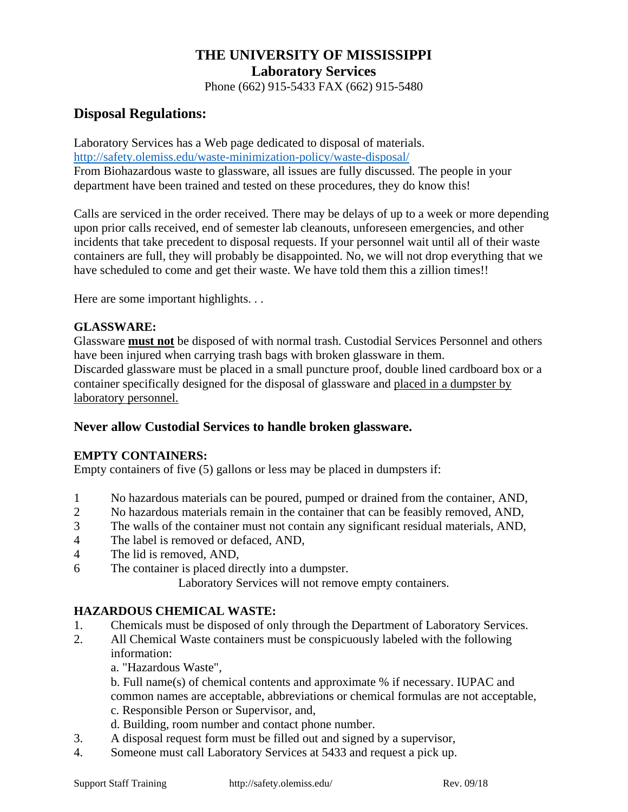Phone (662) 915-5433 FAX (662) 915-5480

# **Disposal Regulations:**

Laboratory Services has a Web page dedicated to disposal of materials. <http://safety.olemiss.edu/waste-minimization-policy/waste-disposal/> From Biohazardous waste to glassware, all issues are fully discussed. The people in your department have been trained and tested on these procedures, they do know this!

Calls are serviced in the order received. There may be delays of up to a week or more depending upon prior calls received, end of semester lab cleanouts, unforeseen emergencies, and other incidents that take precedent to disposal requests. If your personnel wait until all of their waste containers are full, they will probably be disappointed. No, we will not drop everything that we have scheduled to come and get their waste. We have told them this a zillion times!!

Here are some important highlights. . .

# **GLASSWARE:**

Glassware **must not** be disposed of with normal trash. Custodial Services Personnel and others have been injured when carrying trash bags with broken glassware in them. Discarded glassware must be placed in a small puncture proof, double lined cardboard box or a container specifically designed for the disposal of glassware and placed in a dumpster by laboratory personnel.

# **Never allow Custodial Services to handle broken glassware.**

# **EMPTY CONTAINERS:**

Empty containers of five (5) gallons or less may be placed in dumpsters if:

- 1 No hazardous materials can be poured, pumped or drained from the container, AND,
- 2 No hazardous materials remain in the container that can be feasibly removed, AND,
- 3 The walls of the container must not contain any significant residual materials, AND,
- 4 The label is removed or defaced, AND,
- 4 The lid is removed, AND,
- 6 The container is placed directly into a dumpster.

Laboratory Services will not remove empty containers.

# **HAZARDOUS CHEMICAL WASTE:**

- 1. Chemicals must be disposed of only through the Department of Laboratory Services.
- 2. All Chemical Waste containers must be conspicuously labeled with the following information:
	- a. "Hazardous Waste",

b. Full name(s) of chemical contents and approximate % if necessary. IUPAC and common names are acceptable, abbreviations or chemical formulas are not acceptable,

- c. Responsible Person or Supervisor, and,
- d. Building, room number and contact phone number.
- 3. A disposal request form must be filled out and signed by a supervisor,
- 4. Someone must call Laboratory Services at 5433 and request a pick up.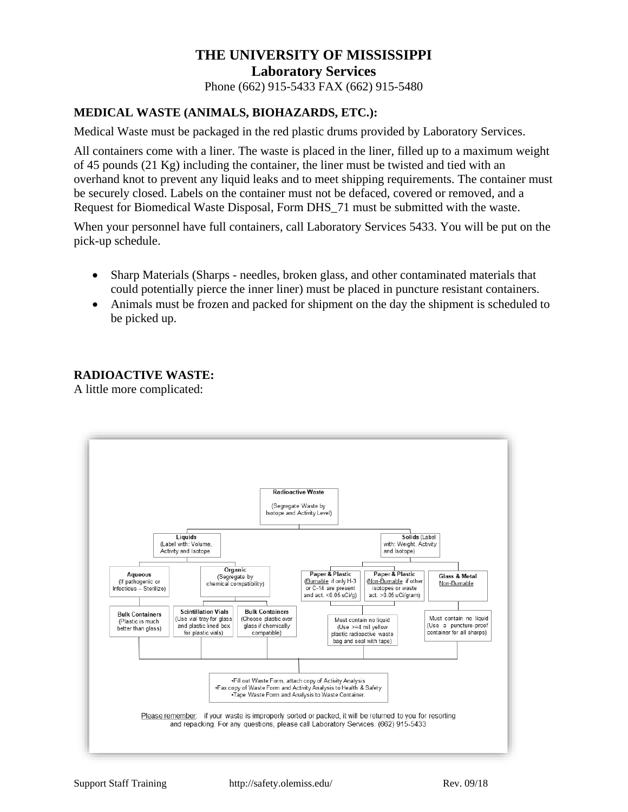# **THE UNIVERSITY OF MISSISSIPPI Laboratory Services** Phone (662) 915-5433 FAX (662) 915-5480

# **MEDICAL WASTE (ANIMALS, BIOHAZARDS, ETC.):**

Medical Waste must be packaged in the red plastic drums provided by Laboratory Services.

All containers come with a liner. The waste is placed in the liner, filled up to a maximum weight of 45 pounds (21 Kg) including the container, the liner must be twisted and tied with an overhand knot to prevent any liquid leaks and to meet shipping requirements. The container must be securely closed. Labels on the container must not be defaced, covered or removed, and a Request for Biomedical Waste Disposal, Form DHS\_71 must be submitted with the waste.

When your personnel have full containers, call Laboratory Services 5433. You will be put on the pick-up schedule.

- Sharp Materials (Sharps needles, broken glass, and other contaminated materials that could potentially pierce the inner liner) must be placed in puncture resistant containers.
- Animals must be frozen and packed for shipment on the day the shipment is scheduled to be picked up.

#### **RADIOACTIVE WASTE:**

A little more complicated: